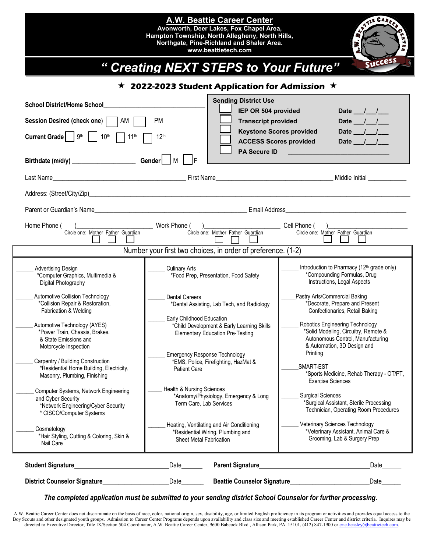#### **A.W. Beattie Career Center Avonworth, Deer Lakes, Fox Chapel Area, Hampton Township, North Allegheny, North Hills, Northgate, Pine-Richland and Shaler Area. www.beattietech.com**  Success **18 Pro**  *" Creating NEXT STEPS to Your Future"*

#### **2022-2023 Student Application for Admission**

| <b>School District/Home School</b><br>AM<br>Session Desired (check one)  <br>Current Grade   9th   10th<br>11 <sup>th</sup>    | PM<br>12 <sup>th</sup>                                                                                                                                                                        | <b>Sending District Use</b><br>IEP OR 504 provided<br>Date $\frac{1}{1}$<br>Date $\frac{1}{\sqrt{1-\frac{1}{2}}}$<br><b>Transcript provided</b><br>Date $\frac{1}{\sqrt{1-\frac{1}{2}}}$<br><b>Keystone Scores provided</b><br><b>ACCESS Scores provided</b><br>Date $\frac{1}{\sqrt{2}}$<br><b>PA Secure ID</b> |                                                                                                                                             |  |  |  |
|--------------------------------------------------------------------------------------------------------------------------------|-----------------------------------------------------------------------------------------------------------------------------------------------------------------------------------------------|------------------------------------------------------------------------------------------------------------------------------------------------------------------------------------------------------------------------------------------------------------------------------------------------------------------|---------------------------------------------------------------------------------------------------------------------------------------------|--|--|--|
|                                                                                                                                |                                                                                                                                                                                               |                                                                                                                                                                                                                                                                                                                  |                                                                                                                                             |  |  |  |
|                                                                                                                                |                                                                                                                                                                                               |                                                                                                                                                                                                                                                                                                                  |                                                                                                                                             |  |  |  |
| Parent or Guardian's Name                                                                                                      |                                                                                                                                                                                               |                                                                                                                                                                                                                                                                                                                  | Email Address <b>Email Address Email Address Email Address</b>                                                                              |  |  |  |
| Home Phone ( Circle one: Mother Father Guardian                                                                                |                                                                                                                                                                                               | Circle one: Mother Father Guardian                                                                                                                                                                                                                                                                               |                                                                                                                                             |  |  |  |
| Number your first two choices, in order of preference. (1-2)                                                                   |                                                                                                                                                                                               |                                                                                                                                                                                                                                                                                                                  |                                                                                                                                             |  |  |  |
| <b>Advertising Design</b><br>*Computer Graphics, Multimedia &<br>Digital Photography                                           | <b>Culinary Arts</b><br>*Food Prep, Presentation, Food Safety                                                                                                                                 |                                                                                                                                                                                                                                                                                                                  | Introduction to Pharmacy (12 <sup>th</sup> grade only)<br>*Compounding Formulas, Drug<br>Instructions, Legal Aspects                        |  |  |  |
| Automotive Collision Technology<br>*Collision Repair & Restoration,<br>Fabrication & Welding                                   | <b>Dental Careers</b><br>*Dental Assisting, Lab Tech, and Radiology                                                                                                                           |                                                                                                                                                                                                                                                                                                                  | Pastry Arts/Commercial Baking<br>*Decorate, Prepare and Present<br>Confectionaries, Retail Baking                                           |  |  |  |
| Automotive Technology (AYES)<br>*Power Train, Chassis, Brakes.<br>& State Emissions and<br>Motorcycle Inspection               | Early Childhood Education                                                                                                                                                                     | *Child Development & Early Learning Skills<br><b>Elementary Education Pre-Testing</b>                                                                                                                                                                                                                            | Robotics Engineering Technology<br>*Solid Modeling, Circuitry, Remote &<br>Autonomous Control, Manufacturing<br>& Automation, 3D Design and |  |  |  |
| Carpentry / Building Construction<br>*Residential Home Building, Electricity,<br>Masonry, Plumbing, Finishing                  | Printing<br><b>Emergency Response Technology</b><br>*EMS, Police, Firefighting, HazMat &<br>SMART-EST<br>Patient Care<br>*Sports Medicine, Rehab Therapy - OT/PT,<br><b>Exercise Sciences</b> |                                                                                                                                                                                                                                                                                                                  |                                                                                                                                             |  |  |  |
| Computer Systems, Network Engineering<br>and Cyber Security<br>*Network Engineering/Cyber Security<br>* CISCO/Computer Systems | <b>Health &amp; Nursing Sciences</b><br>*Anatomy/Physiology, Emergency & Long<br>Term Care, Lab Services                                                                                      |                                                                                                                                                                                                                                                                                                                  | <b>Surgical Sciences</b><br>*Surgical Assistant, Sterile Processing<br>Technician, Operating Room Procedures                                |  |  |  |
| Cosmetology<br>*Hair Styling, Cutting & Coloring, Skin &<br>Nail Care                                                          | Heating, Ventilating and Air Conditioning<br>*Residential Wiring, Plumbing and<br><b>Sheet Metal Fabrication</b>                                                                              |                                                                                                                                                                                                                                                                                                                  | Veterinary Sciences Technology<br>*Veterinary Assistant, Animal Care &<br>Grooming, Lab & Surgery Prep                                      |  |  |  |
| <b>Student Signature</b>                                                                                                       | Date                                                                                                                                                                                          | <b>Parent Signature</b>                                                                                                                                                                                                                                                                                          | Date                                                                                                                                        |  |  |  |
| <b>District Counselor Signature_</b>                                                                                           | Date                                                                                                                                                                                          | <b>Beattie Counselor Signature_</b>                                                                                                                                                                                                                                                                              | Date                                                                                                                                        |  |  |  |

*The completed application must be submitted to your sending district School Counselor for further processing.* 

A.W. Beattie Career Center does not discriminate on the basis of race, color, national origin, sex, disability, age, or limited English proficiency in its program or activities and provides equal access to the Boy Scouts and other designated youth groups. Admission to Career Center Programs depends upon availability and class size and meeting established Career Center and district criteria. Inquires may be directed to Executive Director, Title IX/Section 504 Coordinator, A.W. Beattie Career Center, 9600 Babcock Blvd., Allison Park, PA. 15101, (412) 847-1900 or eric.heasley@beattietech.com.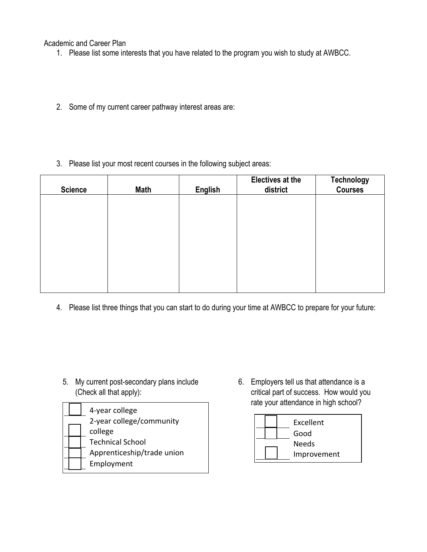Academic and Career Plan

- 1. Please list some interests that you have related to the program you wish to study at AWBCC.
- 2. Some of my current career pathway interest areas are:
- 3. Please list your most recent courses in the following subject areas:

| <b>Science</b> | <b>Math</b> | <b>English</b> | <b>Electives at the</b><br>district | <b>Technology</b><br>Courses |
|----------------|-------------|----------------|-------------------------------------|------------------------------|
|                |             |                |                                     |                              |
|                |             |                |                                     |                              |
|                |             |                |                                     |                              |
|                |             |                |                                     |                              |
|                |             |                |                                     |                              |

4. Please list three things that you can start to do during your time at AWBCC to prepare for your future:

5. My current post-secondary plans include (Check all that apply):

|  | 4-year college             |
|--|----------------------------|
|  | 2-year college/community   |
|  | college                    |
|  | <b>Technical School</b>    |
|  | Apprenticeship/trade union |
|  | Employment                 |
|  |                            |

6. Employers tell us that attendance is a critical part of success. How would you rate your attendance in high school?

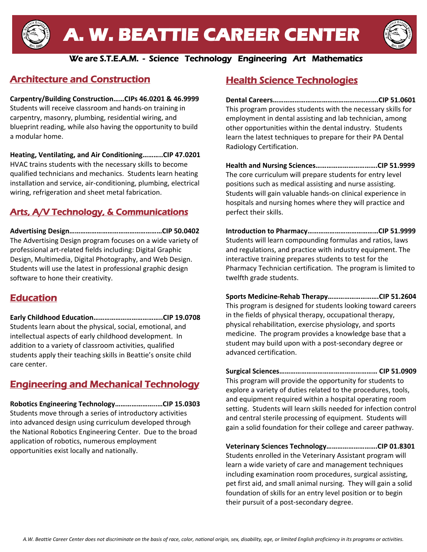



### We are S.T.E.A.M. - Science Technology Engineering Art Mathematics

### Architecture and Construction

**Carpentry/Building Construction……CIPs 46.0201 & 46.9999** Students will receive classroom and hands-on training in carpentry, masonry, plumbing, residential wiring, and blueprint reading, while also having the opportunity to build a modular home.

**Heating, Ventilating, and Air Conditioning………..CIP 47.0201** HVAC trains students with the necessary skills to become qualified technicians and mechanics. Students learn heating installation and service, air-conditioning, plumbing, electrical wiring, refrigeration and sheet metal fabrication.

### Arts, A/V Technology, & Communications

**Advertising Design……………………………………………CIP 50.0402** The Advertising Design program focuses on a wide variety of professional art-related fields including: Digital Graphic Design, Multimedia, Digital Photography, and Web Design. Students will use the latest in professional graphic design software to hone their creativity.

### Education

**Early Childhood Education………………………………..CIP 19.0708** Students learn about the physical, social, emotional, and intellectual aspects of early childhood development. In addition to a variety of classroom activities, qualified students apply their teaching skills in Beattie's onsite child care center.

### Engineering and Mechanical Technology

**Robotics Engineering Technology…………………..…CIP 15.0303** Students move through a series of introductory activities into advanced design using curriculum developed through the National Robotics Engineering Center. Due to the broad application of robotics, numerous employment opportunities exist locally and nationally.

# Health Science Technologies

**Dental Careers………………………………………………….CIP 51.0601** This program provides students with the necessary skills for employment in dental assisting and lab technician, among other opportunities within the dental industry. Students learn the latest techniques to prepare for their PA Dental Radiology Certification.

**Health and Nursing Sciences…………………………….CIP 51.9999** The core curriculum will prepare students for entry level positions such as medical assisting and nurse assisting. Students will gain valuable hands-on clinical experience in hospitals and nursing homes where they will practice and perfect their skills.

**Introduction to Pharmacy…………………………………CIP 51.9999** Students will learn compounding formulas and ratios, laws and regulations, and practice with industry equipment. The interactive training prepares students to test for the Pharmacy Technician certification. The program is limited to twelfth grade students.

**Sports Medicine-Rehab Therapy……………………….CIP 51.2604** This program is designed for students looking toward careers in the fields of physical therapy, occupational therapy, physical rehabilitation, exercise physiology, and sports medicine. The program provides a knowledge base that a student may build upon with a post-secondary degree or advanced certification.

**Surgical Sciences……………………………………………… CIP 51.0909** This program will provide the opportunity for students to explore a variety of duties related to the procedures, tools, and equipment required within a hospital operating room setting. Students will learn skills needed for infection control and central sterile processing of equipment. Students will gain a solid foundation for their college and career pathway.

**Veterinary Sciences Technology……………………….CIP 01.8301** Students enrolled in the Veterinary Assistant program will learn a wide variety of care and management techniques including examination room procedures, surgical assisting, pet first aid, and small animal nursing. They will gain a solid foundation of skills for an entry level position or to begin their pursuit of a post-secondary degree.